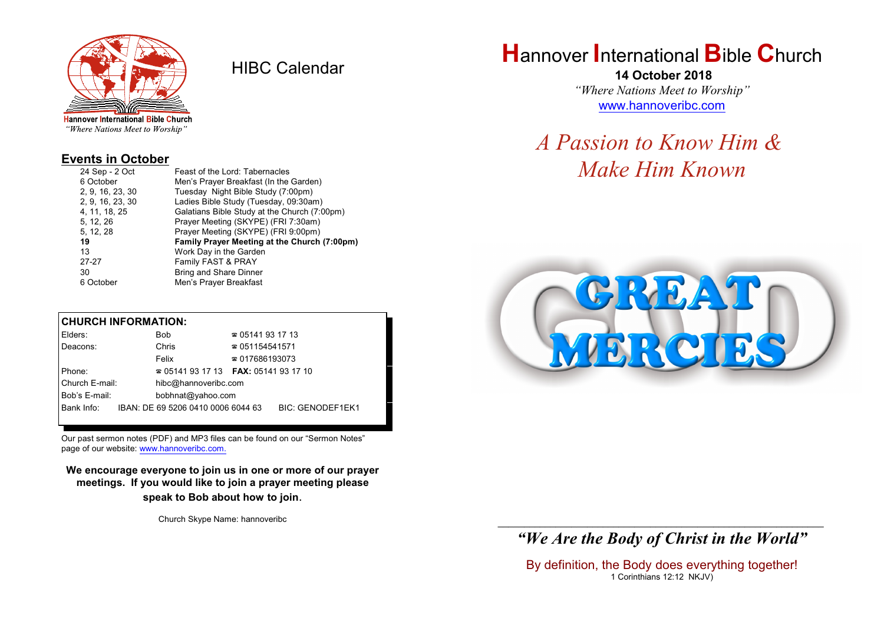

HIBC Calendar

"Where Nations Meet to Worship"

#### **Events in October**

| 24 Sep - 2 Oct   | Feast of the Lord: Tabernacles               |
|------------------|----------------------------------------------|
| 6 October        | Men's Prayer Breakfast (In the Garden)       |
| 2, 9, 16, 23, 30 | Tuesday Night Bible Study (7:00pm)           |
| 2, 9, 16, 23, 30 | Ladies Bible Study (Tuesday, 09:30am)        |
| 4, 11, 18, 25    | Galatians Bible Study at the Church (7:00pm) |
| 5, 12, 26        | Prayer Meeting (SKYPE) (FRI 7:30am)          |
| 5, 12, 28        | Prayer Meeting (SKYPE) (FRI 9:00pm)          |
| 19               | Family Prayer Meeting at the Church (7:00pm) |
| 13               | Work Day in the Garden                       |
| $27 - 27$        | Family FAST & PRAY                           |
| 30               | <b>Bring and Share Dinner</b>                |
| 6 October        | Men's Prayer Breakfast                       |

#### **CHURCH INFORMATION:**

| Elders:        | <b>Bob</b>                               | $\approx 05141931713$  |                         |
|----------------|------------------------------------------|------------------------|-------------------------|
| Deacons:       | Chris                                    | $\approx 051154541571$ |                         |
|                | Felix                                    | $\approx 017686193073$ |                         |
| Phone:         | $\approx 05141931713$ FAX: 0514193 17 10 |                        |                         |
| Church E-mail: | hibc@hannoveribc.com                     |                        |                         |
| Bob's E-mail:  | bobhnat@yahoo.com                        |                        |                         |
| Bank Info:     | IBAN: DE 69 5206 0410 0006 6044 63       |                        | <b>BIC: GENODEF1EK1</b> |
|                |                                          |                        |                         |

Our past sermon notes (PDF) and MP3 files can be found on our "Sermon Notes" page of our website: [www.hannoveribc.com.](http://www.hannoveribc.com.)

**We encourage everyone to join us in one or more of our prayer meetings. If you would like to join a prayer meeting please speak to Bob about how to join**.

Church Skype Name: hannoveribc

# **H**annover **I**nternational **B**ible **C**hurch

 **14 October 2018** *"Where Nations Meet to Worship"* [www.hannoveribc.com](http://www.hannoveribc.com)

*A Passion to Know Him & Make Him Known*



#### \_\_\_\_\_\_\_\_\_\_\_\_\_\_\_\_\_\_\_\_\_\_\_\_\_\_\_\_\_\_\_\_\_\_\_\_\_\_\_\_\_\_\_\_\_\_\_\_\_\_\_\_\_\_\_\_\_\_\_\_\_\_ *"We Are the Body of Christ in the World"*

By definition, the Body does everything together! 1 Corinthians 12:12 NKJV)